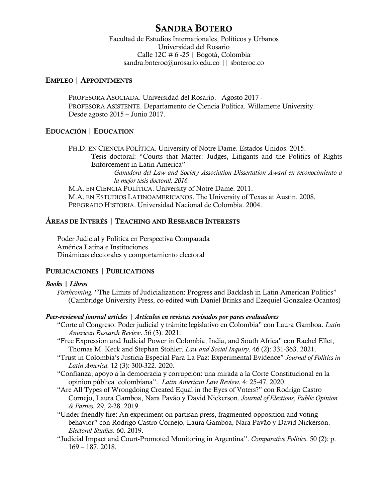# SANDRA BOTERO

## EMPLEO | APPOINTMENTS

PROFESORA ASOCIADA. Universidad del Rosario. Agosto 2017 - PROFESORA ASISTENTE. Departamento de Ciencia Política. Willamette University. Desde agosto 2015 – Junio 2017.

# EDUCACIÓN | EDUCATION

PH.D. EN CIENCIA POLÍTICA. University of Notre Dame. Estados Unidos. 2015. Tesis doctoral: "Courts that Matter: Judges, Litigants and the Politics of Rights Enforcement in Latin America" *Ganadora del Law and Society Association Dissertation Award en reconocimiento a la mejor tesis doctoral. 2016.* M.A. EN CIENCIA POLÍTICA. University of Notre Dame. 2011. M.A. EN ESTUDIOS LATINOAMERICANOS. The University of Texas at Austin. 2008. PREGRADO HISTORIA. Universidad Nacional de Colombia. 2004.

# ÁREAS DE INTERÉS | TEACHING AND RESEARCH INTERESTS

Poder Judicial y Política en Perspectiva Comparada América Latina e Instituciones Dinámicas electorales y comportamiento electoral

# PUBLICACIONES | PUBLICATIONS

## *Books | Libros*

*Forthcoming.* "The Limits of Judicialization: Progress and Backlash in Latin American Politics" (Cambridge University Press, co-edited with Daniel Brinks and Ezequiel Gonzalez-Ocantos)

## *Peer-reviewed journal articles | Artículos en revistas revisados por pares evaluadores*

- "Corte al Congreso: Poder judicial y trámite legislativo en Colombia" con Laura Gamboa. *Latin American Research Review*. 56 (3). 2021.
- "Free Expression and Judicial Power in Colombia, India, and South Africa" con Rachel Ellet, Thomas M. Keck and Stephan Stohler. *Law and Social Inquiry*. 46 (2): 331-363. 2021.
- "Trust in Colombia's Justicia Especial Para La Paz: Experimental Evidence" *Journal of Politics in Latin America.* 12 (3): 300-322. 2020.
- "Confianza, apoyo a la democracia y corrupción: una mirada a la Corte Constitucional en la opinion pública colombiana". *Latin American Law Review*. 4: 25-47. 2020.
- "Are All Types of Wrongdoing Created Equal in the Eyes of Voters?" con Rodrigo Castro Cornejo, Laura Gamboa, Nara Pavão y David Nickerson. *Journal of Elections, Public Opinion & Parties.* 29, 2-28. 2019.
- "Under friendly fire: An experiment on partisan press, fragmented opposition and voting behavior" con Rodrigo Castro Cornejo, Laura Gamboa, Nara Pavão y David Nickerson. *Electoral Studies*. 60. 2019.
- "Judicial Impact and Court-Promoted Monitoring in Argentina". *Comparative Politics*. 50 (2): p. 169 – 187. 2018.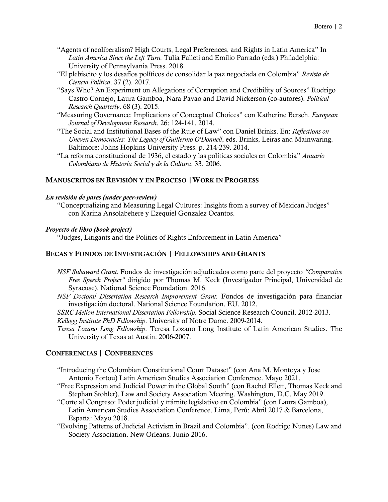- "Agents of neoliberalism? High Courts, Legal Preferences, and Rights in Latin America" In *Latin America Since the Left Turn.* Tulia Falleti and Emilio Parrado (eds.) Philadelphia: University of Pennsylvania Press. 2018.
- "El plebiscito y los desafíos políticos de consolidar la paz negociada en Colombia" *Revista de Ciencia Política*. 37 (2). 2017.
- "Says Who? An Experiment on Allegations of Corruption and Credibility of Sources" Rodrigo Castro Cornejo, Laura Gamboa, Nara Pavao and David Nickerson (co-autores). *Political Research Quarterly*. 68 (3). 2015.
- "Measuring Governance: Implications of Conceptual Choices" con Katherine Bersch. *European Journal of Development Research*. 26: 124-141. 2014.
- "The Social and Institutional Bases of the Rule of Law" con Daniel Brinks. En: *Reflections on Uneven Democracies: The Legacy of Guillermo O'Donnell*, eds. Brinks, Leiras and Mainwaring. Baltimore: Johns Hopkins University Press. p. 214-239. 2014.
- "La reforma constitucional de 1936, el estado y las políticas sociales en Colombia" *Anuario Colombiano de Historia Social y de la Cultura*. 33. 2006.

# MANUSCRITOS EN REVISIÓN Y EN PROCESO |WORK IN PROGRESS

## *En revisión de pares (under peer-review)*

"Conceptualizing and Measuring Legal Cultures: Insights from a survey of Mexican Judges" con Karina Ansolabehere y Ezequiel Gonzalez Ocantos.

## *Proyecto de libro (book project)*

"Judges, Litigants and the Politics of Rights Enforcement in Latin America"

# BECAS Y FONDOS DE INVESTIGACIÓN | FELLOWSHIPS AND GRANTS

- *NSF Subaward Grant.* Fondos de investigación adjudicados como parte del proyecto *"Comparative Free Speech Project"* dirigido por Thomas M. Keck (Investigador Principal, Universidad de Syracuse). National Science Foundation. 2016.
- *NSF Doctoral Dissertation Research Improvement Grant.* Fondos de investigación para financiar investigación doctoral. National Science Foundation. EU. 2012.
- *SSRC Mellon International Dissertation Fellowship*. Social Science Research Council. 2012-2013.

*Kellogg Institute PhD Fellowship*. University of Notre Dame. 2009-2014.

*Teresa Lozano Long Fellowship*. Teresa Lozano Long Institute of Latin American Studies. The University of Texas at Austin. 2006-2007.

# CONFERENCIAS | CONFERENCES

- "Introducing the Colombian Constitutional Court Dataset" (con Ana M. Montoya y Jose Antonio Fortou) Latin American Studies Association Conference. Mayo 2021.
- "Free Expression and Judicial Power in the Global South" (con Rachel Ellett, Thomas Keck and Stephan Stohler). Law and Society Association Meeting. Washington, D.C. May 2019.
- "Corte al Congreso: Poder judicial y trámite legislativo en Colombia" (con Laura Gamboa), Latin American Studies Association Conference. Lima, Perú: Abril 2017 & Barcelona, España: Mayo 2018.
- "Evolving Patterns of Judicial Activism in Brazil and Colombia". (con Rodrigo Nunes) Law and Society Association. New Orleans. Junio 2016.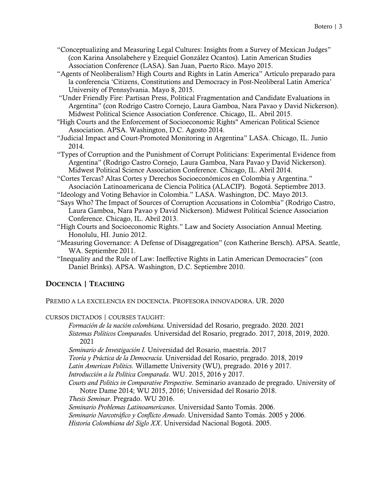- "Conceptualizing and Measuring Legal Cultures: Insights from a Survey of Mexican Judges" (con Karina Ansolabehere y Ezequiel González Ocantos). Latin American Studies Association Conference (LASA). San Juan, Puerto Rico. Mayo 2015.
- "Agents of Neoliberalism? High Courts and Rights in Latin America" Artículo preparado para la conferencia 'Citizens, Constitutions and Democracy in Post-Neoliberal Latin America' University of Pennsylvania. Mayo 8, 2015.
- "Under Friendly Fire: Partisan Press, Political Fragmentation and Candidate Evaluations in Argentina" (con Rodrigo Castro Cornejo, Laura Gamboa, Nara Pavao y David Nickerson). Midwest Political Science Association Conference. Chicago, IL. Abril 2015.
- "High Courts and the Enforcement of Socioeconomic Rights" American Political Science Association. APSA. Washington, D.C. Agosto 2014.
- "Judicial Impact and Court-Promoted Monitoring in Argentina" LASA. Chicago, IL. Junio 2014.
- "Types of Corruption and the Punishment of Corrupt Politicians: Experimental Evidence from Argentina" (Rodrigo Castro Cornejo, Laura Gamboa, Nara Pavao y David Nickerson). Midwest Political Science Association Conference. Chicago, IL. Abril 2014.
- "Cortes Tercas? Altas Cortes y Derechos Socioeconómicos en Colombia y Argentina." Asociación Latinoamericana de Ciencia Política (ALACIP). Bogotá. Septiembre 2013.
- "Ideology and Voting Behavior in Colombia." LASA. Washington, DC. Mayo 2013.
- "Says Who? The Impact of Sources of Corruption Accusations in Colombia" (Rodrigo Castro, Laura Gamboa, Nara Pavao y David Nickerson). Midwest Political Science Association Conference. Chicago, IL. Abril 2013.
- "High Courts and Socioeconomic Rights." Law and Society Association Annual Meeting. Honolulu, HI. Junio 2012.
- "Measuring Governance: A Defense of Disaggregation" (con Katherine Bersch). APSA. Seattle, WA. Septiembre 2011.
- "Inequality and the Rule of Law: Ineffective Rights in Latin American Democracies" (con Daniel Brinks). APSA. Washington, D.C. Septiembre 2010.

# DOCENCIA | TEACHING

PREMIO A LA EXCELENCIA EN DOCENCIA. PROFESORA INNOVADORA. UR. 2020

# CURSOS DICTADOS | COURSES TAUGHT:

*Formación de la nación colombiana.* Universidad del Rosario, pregrado. 2020. 2021 *Sistemas Políticos Comparados.* Universidad del Rosario, pregrado. 2017, 2018, 2019, 2020. 2021

*Seminario de Investigación I.* Universidad del Rosario, maestría. 2017

*Teoría y Práctica de la Democracia.* Universidad del Rosario, pregrado. 2018, 2019

*Latin American Politics*. Willamette University (WU), pregrado. 2016 y 2017.

*Introducción a la Política Comparada*. WU. 2015, 2016 y 2017.

*Courts and Politics in Comparative Perspective*. Seminario avanzado de pregrado. University of Notre Dame 2014; WU 2015, 2016; Universidad del Rosario 2018.

*Thesis Seminar*. Pregrado. WU 2016.

*Seminario Problemas Latinoamericanos*. Universidad Santo Tomás. 2006. *Seminario Narcotráfico y Conflicto Armado*. Universidad Santo Tomás. 2005 y 2006. *Historia Colombiana del Siglo XX*. Universidad Nacional Bogotá. 2005.